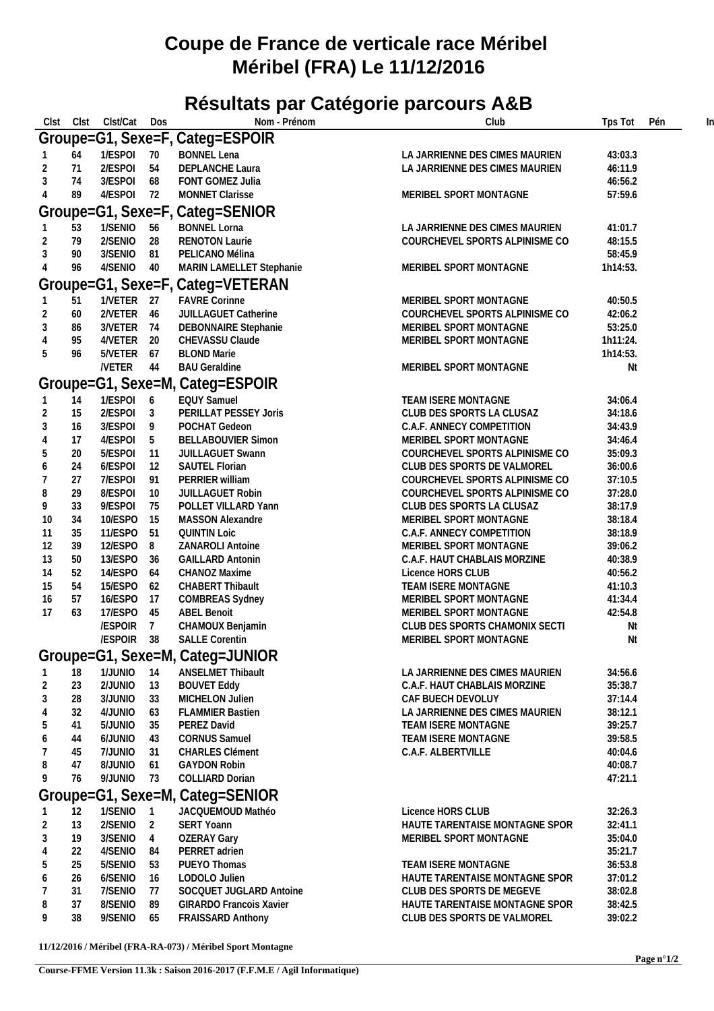## **Coupe de France de verticale race Méribel Méribel (FRA) Le 11/12/2016**

## **Résultats par Catégorie parcours A&B**

| Clst<br>Clst                     | Clst/Cat             | Dos             | Nom - Prénom                    | Club                           | Tps Tot  | Pén |  |  |  |  |  |  |
|----------------------------------|----------------------|-----------------|---------------------------------|--------------------------------|----------|-----|--|--|--|--|--|--|
|                                  |                      |                 | Groupe=G1, Sexe=F, Categ=ESPOIR |                                |          |     |  |  |  |  |  |  |
|                                  |                      |                 |                                 |                                |          |     |  |  |  |  |  |  |
| 64                               | 1/ESPOI              | - 70            | <b>BONNEL Lena</b>              | LA JARRIENNE DES CIMES MAURIEN | 43:03.3  |     |  |  |  |  |  |  |
| 71<br>2                          | 2/ESPOI              | 54              | DEPLANCHE Laura                 | LA JARRIENNE DES CIMES MAURIEN | 46:11.9  |     |  |  |  |  |  |  |
| 74<br>3                          | 3/ESPOI              | 68              | FONT GOMEZ Julia                |                                | 46:56.2  |     |  |  |  |  |  |  |
| 89<br>$\overline{4}$             | 4/ESPOI 72           |                 | MONNET Clarisse                 | MERIBEL SPORT MONTAGNE         | 57:59.6  |     |  |  |  |  |  |  |
|                                  |                      |                 | Groupe=G1, Sexe=F, Categ=SENIOR |                                |          |     |  |  |  |  |  |  |
| 53                               | 1/SENIO              | 56              | <b>BONNEL Lorna</b>             | LA JARRIENNE DES CIMES MAURIEN | 41:01.7  |     |  |  |  |  |  |  |
| 79<br>2                          | 2/SENIO 28           |                 | <b>RENOTON Laurie</b>           | COURCHEVEL SPORTS ALPINISME CO | 48:15.5  |     |  |  |  |  |  |  |
| $\mathfrak{Z}$<br>90             | 3/SENIO 81           |                 | PELICANO Mélina                 |                                | 58:45.9  |     |  |  |  |  |  |  |
| $\overline{4}$<br>96             | 4/SENIO 40           |                 | MARIN LAMELLET Stephanie        | MERIBEL SPORT MONTAGNE         | 1h14:53. |     |  |  |  |  |  |  |
|                                  |                      |                 |                                 |                                |          |     |  |  |  |  |  |  |
| Groupe=G1, Sexe=F, Categ=VETERAN |                      |                 |                                 |                                |          |     |  |  |  |  |  |  |
| 51                               | 1/VETER 27           |                 | <b>FAVRE Corinne</b>            | MERIBEL SPORT MONTAGNE         | 40:50.5  |     |  |  |  |  |  |  |
| 2<br>60                          | 2/VETER 46           |                 | JUILLAGUET Catherine            | COURCHEVEL SPORTS ALPINISME CO | 42:06.2  |     |  |  |  |  |  |  |
| 3<br>86                          | 3/VETER 74           |                 | DEBONNAIRE Stephanie            | MERIBEL SPORT MONTAGNE         | 53:25.0  |     |  |  |  |  |  |  |
| $\overline{4}$<br>95             | 4/VETER 20           |                 | CHEVASSU Claude                 | MERIBEL SPORT MONTAGNE         | 1h11:24. |     |  |  |  |  |  |  |
| $5\,$<br>96                      | 5/VETER 67           |                 | <b>BLOND Marie</b>              |                                | 1h14:53. |     |  |  |  |  |  |  |
|                                  | /VETER 44            |                 | <b>BAU Geraldine</b>            | MERIBEL SPORT MONTAGNE         | Nt       |     |  |  |  |  |  |  |
|                                  |                      |                 | Groupe=G1, Sexe=M, Categ=ESPOIR |                                |          |     |  |  |  |  |  |  |
|                                  |                      |                 |                                 |                                |          |     |  |  |  |  |  |  |
| 14                               | 1/ESPOI 6            |                 | <b>EQUY Samuel</b>              | TEAM ISERE MONTAGNE            | 34:06.4  |     |  |  |  |  |  |  |
| 15<br>2                          | 2/ESPOI 3            |                 | PERILLAT PESSEY Joris           | CLUB DES SPORTS LA CLUSAZ      | 34:18.6  |     |  |  |  |  |  |  |
| 3<br>16                          | 3/ESPOI              | 9               | POCHAT Gedeon                   | C.A.F. ANNECY COMPETITION      | 34:43.9  |     |  |  |  |  |  |  |
| 17<br>$\overline{4}$             | 4/ESPOI              | $5\overline{)}$ | <b>BELLABOUVIER Simon</b>       | MERIBEL SPORT MONTAGNE         | 34:46.4  |     |  |  |  |  |  |  |
| 5<br>20                          | 5/ESPOI              | 11              | JUILLAGUET Swann                | COURCHEVEL SPORTS ALPINISME CO | 35:09.3  |     |  |  |  |  |  |  |
| 24<br>6                          | 6/ESPOI              | 12              | SAUTEL Florian                  | CLUB DES SPORTS DE VALMOREL    | 36:00.6  |     |  |  |  |  |  |  |
| 27<br>7                          | 7/ESPOI              | 91              | PERRIER william                 | COURCHEVEL SPORTS ALPINISME CO | 37:10.5  |     |  |  |  |  |  |  |
| 29<br>8                          | 8/ESPOI              | 10              | JUILLAGUET Robin                | COURCHEVEL SPORTS ALPINISME CO | 37:28.0  |     |  |  |  |  |  |  |
| 33<br>9                          | 9/ESPOI              | 75              | POLLET VILLARD Yann             | CLUB DES SPORTS LA CLUSAZ      | 38:17.9  |     |  |  |  |  |  |  |
| 34<br>10                         | 10/ESPO              | 15              | MASSON Alexandre                | MERIBEL SPORT MONTAGNE         | 38:18.4  |     |  |  |  |  |  |  |
| 35<br>-11                        | 11/ESPO 51           |                 | <b>QUINTIN Loic</b>             | C.A.F. ANNECY COMPETITION      | 38:18.9  |     |  |  |  |  |  |  |
| 39<br>12                         | 12/ESPO 8            |                 | ZANAROLI Antoine                | MERIBEL SPORT MONTAGNE         | 39:06.2  |     |  |  |  |  |  |  |
| 50<br>13                         | 13/ESPO              | 36              | <b>GAILLARD Antonin</b>         | C.A.F. HAUT CHABLAIS MORZINE   | 40:38.9  |     |  |  |  |  |  |  |
| 52<br>14                         | 14/ESPO              | 64              | CHANOZ Maxime                   | Licence HORS CLUB              | 40:56.2  |     |  |  |  |  |  |  |
| 54<br>15                         | 15/ESPO 62           |                 | CHABERT Thibault                | TEAM ISERE MONTAGNE            | 41:10.3  |     |  |  |  |  |  |  |
| 57<br>16                         | 16/ESPO              | 17              | <b>COMBREAS Sydney</b>          | MERIBEL SPORT MONTAGNE         | 41:34.4  |     |  |  |  |  |  |  |
| 63<br>17                         | 17/ESPO 45           |                 | <b>ABEL Benoit</b>              | MERIBEL SPORT MONTAGNE         | 42:54.8  |     |  |  |  |  |  |  |
|                                  | /ESPOIR 7            |                 | CHAMOUX Benjamin                | CLUB DES SPORTS CHAMONIX SECTI | Nt       |     |  |  |  |  |  |  |
|                                  | /ESPOIR 38           |                 | <b>SALLE Corentin</b>           | MERIBEL SPORT MONTAGNE         | Nt       |     |  |  |  |  |  |  |
|                                  |                      |                 |                                 |                                |          |     |  |  |  |  |  |  |
|                                  |                      |                 | Groupe=G1, Sexe=M, Categ=JUNIOR |                                |          |     |  |  |  |  |  |  |
| 18<br>-1                         | 1/JUNIO 14           |                 | ANSELMET Thibault               | LA JARRIENNE DES CIMES MAURIEN | 34:56.6  |     |  |  |  |  |  |  |
| $\overline{2}$<br>23             | 2/JUNIO              | 13              | <b>BOUVET Eddy</b>              | C.A.F. HAUT CHABLAIS MORZINE   | 35:38.7  |     |  |  |  |  |  |  |
| 3<br>28                          | 3/JUNIO              | 33              | MICHELON Julien                 | CAF BUECH DEVOLUY              | 37:14.4  |     |  |  |  |  |  |  |
| 32<br>$\overline{4}$             | 4/JUNIO              | 63              | <b>FLAMMIER Bastien</b>         | LA JARRIENNE DES CIMES MAURIEN | 38:12.1  |     |  |  |  |  |  |  |
| 5<br>41                          | 5/JUNIO              | 35              | PEREZ David                     | TEAM ISERE MONTAGNE            | 39:25.7  |     |  |  |  |  |  |  |
| 6<br>44                          | 6/JUNIO              | 43              | <b>CORNUS Samuel</b>            | TEAM ISERE MONTAGNE            | 39:58.5  |     |  |  |  |  |  |  |
| -7<br>45                         | 7/JUNIO              | 31              | <b>CHARLES Clément</b>          | C.A.F. ALBERTVILLE             | 40:04.6  |     |  |  |  |  |  |  |
| 8<br>47                          | 8/JUNIO              | 61              | <b>GAYDON Robin</b>             |                                | 40:08.7  |     |  |  |  |  |  |  |
| 76<br>9                          | 9/JUNIO              | 73              | COLLIARD Dorian                 |                                | 47:21.1  |     |  |  |  |  |  |  |
|                                  |                      |                 |                                 |                                |          |     |  |  |  |  |  |  |
|                                  |                      |                 | Groupe=G1, Sexe=M, Categ=SENIOR |                                |          |     |  |  |  |  |  |  |
| 12                               | 1/SENIO 1            |                 | JACQUEMOUD Mathéo               | Licence HORS CLUB              | 32:26.3  |     |  |  |  |  |  |  |
| 13<br>2                          | 2/SENIO <sub>2</sub> |                 | <b>SERT Yoann</b>               | HAUTE TARENTAISE MONTAGNE SPOR | 32:41.1  |     |  |  |  |  |  |  |
| 3<br>19                          | 3/SENIO 4            |                 | <b>OZERAY Gary</b>              | MERIBEL SPORT MONTAGNE         | 35:04.0  |     |  |  |  |  |  |  |
| 22<br>$\overline{4}$             | 4/SENIO              | 84              | PERRET adrien                   |                                | 35:21.7  |     |  |  |  |  |  |  |
| 5<br>25                          | 5/SENIO              | 53              | PUEYO Thomas                    | TEAM ISERE MONTAGNE            | 36:53.8  |     |  |  |  |  |  |  |
| 26<br>6                          | 6/SENIO              | 16              | LODOLO Julien                   | HAUTE TARENTAISE MONTAGNE SPOR | 37:01.2  |     |  |  |  |  |  |  |
| 7<br>31                          | 7/SENIO              | 77              | SOCQUET JUGLARD Antoine         | CLUB DES SPORTS DE MEGEVE      | 38:02.8  |     |  |  |  |  |  |  |
| 37<br>8                          | 8/SENIO              | 89              | <b>GIRARDO Francois Xavier</b>  | HAUTE TARENTAISE MONTAGNE SPOR | 38:42.5  |     |  |  |  |  |  |  |
| 9<br>38                          | 9/SENIO              | 65              | <b>FRAISSARD Anthony</b>        | CLUB DES SPORTS DE VALMOREL    | 39:02.2  |     |  |  |  |  |  |  |
|                                  |                      |                 |                                 |                                |          |     |  |  |  |  |  |  |

**11/12/2016 / Méribel (FRA-RA-073) / Méribel Sport Montagne**